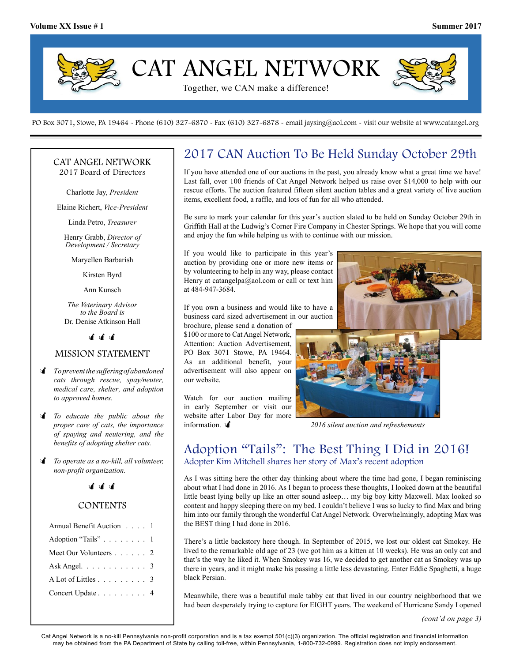

PO Box 3071, Stowe, PA 19464 - Phone (610) 327-6870 - Fax (610) 327-6878 - email jaysing@aol.com - visit our website at www.catangel.org

#### CAT ANGEL NETWORK 2017 Board of Directors

Charlotte Jay, President

Elaine Richert, Vice-President

Linda Petro, Treasurer

Henry Grabb, Director of Development / Secretary

Maryellen Barbarish

Kirsten Byrd

Ann Kunsch

The Veterinary Advisor to the Board is Dr. Denise Atkinson Hall

भाषा ज

### MISSION STATEMENT

- **i** To prevent the suffering of abandoned cats through rescue, spay/neuter, medical care, shelter, and adoption to approved homes.
- $\mathbf f$  To educate the public about the proper care of cats, the importance of spaying and neutering, and the benefits of adopting shelter cats.
- To operate as a no-kill, all volunteer, non-profit organization.



## **CONTENTS**

| Annual Benefit Auction 1                        |  |  |  |  |
|-------------------------------------------------|--|--|--|--|
| Adoption "Tails" 1                              |  |  |  |  |
| Meet Our Volunteers 2                           |  |  |  |  |
| Ask Angel. $\ldots \ldots \ldots \ldots$ 3      |  |  |  |  |
| $A$ Lot of Littles $\ldots$ $\ldots$ $\ldots$ 3 |  |  |  |  |
| Concert Update 4                                |  |  |  |  |
|                                                 |  |  |  |  |

# 2017 CAN Auction To Be Held Sunday October 29th

If you have attended one of our auctions in the past, you already know what a great time we have! Last fall, over 100 friends of Cat Angel Network helped us raise over \$14,000 to help with our rescue efforts. The auction featured fifteen silent auction tables and a great variety of live auction items, excellent food, a raffle, and lots of fun for all who attended.

Be sure to mark your calendar for this year's auction slated to be held on Sunday October 29th in Griffith Hall at the Ludwig's Corner Fire Company in Chester Springs. We hope that you will come and enjoy the fun while helping us with to continue with our mission.

If you would like to participate in this year's auction by providing one or more new items or by volunteering to help in any way, please contact Henry at catangelpa@aol.com or call or text him at 484-947-3684.

If you own a business and would like to have a business card sized advertisement in our auction

brochure, please send a donation of \$100 or more to Cat Angel Network, Attention: Auction Advertisement, PO Box 3071 Stowe, PA 19464. As an additional benefit, your advertisement will also appear on our website.

Watch for our auction mailing in early September or visit our website after Labor Day for more information.



2016 silent auction and refreshements

# Adoption "Tails": The Best Thing I Did in 2016! Adopter Kim Mitchell shares her story of Max's recent adoption

As I was sitting here the other day thinking about where the time had gone, I began reminiscing about what I had done in 2016. As I began to process these thoughts, I looked down at the beautiful little beast lying belly up like an otter sound asleep… my big boy kitty Maxwell. Max looked so content and happy sleeping there on my bed. I couldn't believe I was so lucky to find Max and bring him into our family through the wonderful Cat Angel Network. Overwhelmingly, adopting Max was the BEST thing I had done in 2016.

There's a little backstory here though. In September of 2015, we lost our oldest cat Smokey. He lived to the remarkable old age of 23 (we got him as a kitten at 10 weeks). He was an only cat and that's the way he liked it. When Smokey was 16, we decided to get another cat as Smokey was up there in years, and it might make his passing a little less devastating. Enter Eddie Spaghetti, a huge black Persian.

Meanwhile, there was a beautiful male tabby cat that lived in our country neighborhood that we had been desperately trying to capture for EIGHT years. The weekend of Hurricane Sandy I opened

(cont'd on page 3)

Cat Angel Network is a no-kill Pennsylvania non-profit corporation and is a tax exempt 501(c)(3) organization. The official registration and financial information may be obtained from the PA Department of State by calling toll-free, within Pennsylvania, 1-800-732-0999. Registration does not imply endorsement.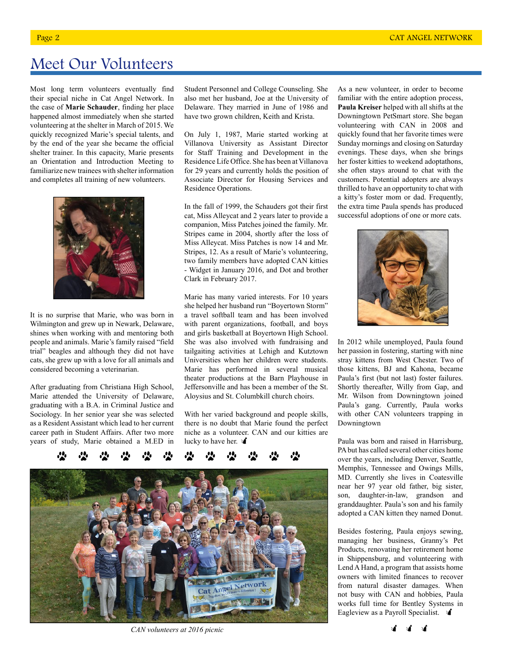# Meet Our Volunteers

Most long term volunteers eventually find their special niche in Cat Angel Network. In the case of Marie Schauder, finding her place happened almost immediately when she started volunteering at the shelter in March of 2015. We quickly recognized Marie's special talents, and by the end of the year she became the official shelter trainer. In this capacity, Marie presents an Orientation and Introduction Meeting to familiarize new trainees with shelter information and completes all training of new volunteers.



It is no surprise that Marie, who was born in Wilmington and grew up in Newark, Delaware, shines when working with and mentoring both people and animals. Marie's family raised "field trial" beagles and although they did not have cats, she grew up with a love for all animals and considered becoming a veterinarian.

After graduating from Christiana High School, Marie attended the University of Delaware, graduating with a B.A. in Criminal Justice and Sociology. In her senior year she was selected as a Resident Assistant which lead to her current career path in Student Affairs. After two more years of study, Marie obtained a M.ED in

Student Personnel and College Counseling. She also met her husband, Joe at the University of Delaware. They married in June of 1986 and have two grown children, Keith and Krista.

On July 1, 1987, Marie started working at Villanova University as Assistant Director for Staff Training and Development in the Residence Life Office. She has been at Villanova for 29 years and currently holds the position of Associate Director for Housing Services and Residence Operations.

In the fall of 1999, the Schauders got their first cat, Miss Alleycat and 2 years later to provide a companion, Miss Patches joined the family. Mr. Stripes came in 2004, shortly after the loss of Miss Alleycat. Miss Patches is now 14 and Mr. Stripes, 12. As a result of Marie's volunteering, two family members have adopted CAN kitties - Widget in January 2016, and Dot and brother Clark in February 2017.

Marie has many varied interests. For 10 years she helped her husband run "Boyertown Storm" a travel softball team and has been involved with parent organizations, football, and boys and girls basketball at Boyertown High School. She was also involved with fundraising and tailgaiting activities at Lehigh and Kutztown Universities when her children were students. Marie has performed in several musical theater productions at the Barn Playhouse in Jeffersonville and has been a member of the St. Aloysius and St. Columbkill church choirs.

With her varied background and people skills, there is no doubt that Marie found the perfect niche as a volunteer. CAN and our kitties are lucky to have her.  $\mathbf{\hat{d}}$ 



CAN volunteers at 2016 picnic

As a new volunteer, in order to become familiar with the entire adoption process, Paula Kreiser helped with all shifts at the Downingtown PetSmart store. She began volunteering with CAN in 2008 and quickly found that her favorite times were Sunday mornings and closing on Saturday evenings. These days, when she brings her foster kitties to weekend adoptathons, she often stays around to chat with the customers. Potential adopters are always thrilled to have an opportunity to chat with a kitty's foster mom or dad. Frequently, the extra time Paula spends has produced successful adoptions of one or more cats.



In 2012 while unemployed, Paula found her passion in fostering, starting with nine stray kittens from West Chester. Two of those kittens, BJ and Kahona, became Paula's first (but not last) foster failures. Shortly thereafter, Willy from Gap, and Mr. Wilson from Downingtown joined Paula's gang. Currently, Paula works with other CAN volunteers trapping in Downingtown

Paula was born and raised in Harrisburg, PA but has called several other cities home over the years, including Denver, Seattle, Memphis, Tennessee and Owings Mills, MD. Currently she lives in Coatesville near her 97 year old father, big sister, son, daughter-in-law, grandson and granddaughter. Paula's son and his family adopted a CAN kitten they named Donut.

Besides fostering, Paula enjoys sewing, managing her business, Granny's Pet Products, renovating her retirement home in Shippensburg, and volunteering with Lend A Hand, a program that assists home owners with limited finances to recover from natural disaster damages. When not busy with CAN and hobbies, Paula works full time for Bentley Systems in Eagleview as a Payroll Specialist.  $\mathbf{\hat{A}}$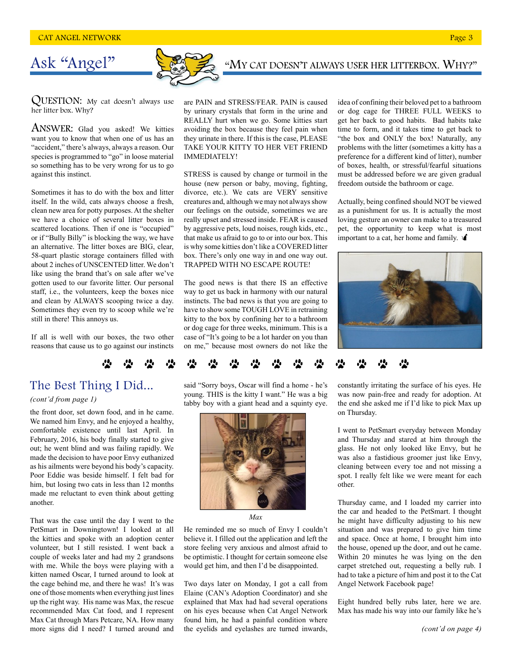# Ask "Angel"

QUESTION: My cat doesn't always use her litter box. Why?

ANSWER: Glad you asked! We kitties want you to know that when one of us has an "accident," there's always, always a reason. Our species is programmed to "go" in loose material so something has to be very wrong for us to go against this instinct.

Sometimes it has to do with the box and litter itself. In the wild, cats always choose a fresh, clean new area for potty purposes. At the shelter we have a choice of several litter boxes in scattered locations. Then if one is "occupied" or if "Bully Billy" is blocking the way, we have an alternative. The litter boxes are BIG, clear, 58-quart plastic storage containers filled with about 2 inches of UNSCENTED litter. We don't like using the brand that's on sale after we've gotten used to our favorite litter. Our personal staff, i.e., the volunteers, keep the boxes nice and clean by ALWAYS scooping twice a day. Sometimes they even try to scoop while we're still in there! This annoys us.

If all is well with our boxes, the two other reasons that cause us to go against our instincts

#### are PAIN and STRESS/FEAR. PAIN is caused by urinary crystals that form in the urine and REALLY hurt when we go. Some kitties start avoiding the box because they feel pain when they urinate in there. If this is the case, PLEASE TAKE YOUR KITTY TO HER VET FRIEND IMMEDIATELY!

STRESS is caused by change or turmoil in the house (new person or baby, moving, fighting, divorce, etc.). We cats are VERY sensitive creatures and, although we may not always show our feelings on the outside, sometimes we are really upset and stressed inside. FEAR is caused by aggressive pets, loud noises, rough kids, etc., that make us afraid to go to or into our box. This is why some kitties don't like a COVERED litter box. There's only one way in and one way out. TRAPPED WITH NO ESCAPE ROUTE!

The good news is that there IS an effective way to get us back in harmony with our natural instincts. The bad news is that you are going to have to show some TOUGH LOVE in retraining kitty to the box by confining her to a bathroom or dog cage for three weeks, minimum. This is a case of "It's going to be a lot harder on you than on me," because most owners do not like the idea of confining their beloved pet to a bathroom or dog cage for THREE FULL WEEKS to get her back to good habits. Bad habits take time to form, and it takes time to get back to "the box and ONLY the box! Naturally, any problems with the litter (sometimes a kitty has a preference for a different kind of litter), number of boxes, health, or stressful/fearful situations must be addressed before we are given gradual freedom outside the bathroom or cage.

"MY CAT DOESN'T ALWAYS USER HER LITTERBOX. WHY?"

Actually, being confined should NOT be viewed as a punishment for us. It is actually the most loving gesture an owner can make to a treasured pet, the opportunity to keep what is most important to a cat, her home and family.  $\mathbf$ 



# 2 2 2 2 2 2 2 2 2 2 2 2 2

#### (cont'd from page 1)

the front door, set down food, and in he came. We named him Envy, and he enjoyed a healthy, comfortable existence until last April. In February, 2016, his body finally started to give out; he went blind and was failing rapidly. We made the decision to have poor Envy euthanized as his ailments were beyond his body's capacity. Poor Eddie was beside himself. I felt bad for him, but losing two cats in less than 12 months made me reluctant to even think about getting another.

That was the case until the day I went to the PetSmart in Downingtown! I looked at all the kitties and spoke with an adoption center volunteer, but I still resisted. I went back a couple of weeks later and had my 2 grandsons with me. While the boys were playing with a kitten named Oscar, I turned around to look at the cage behind me, and there he was! It's was one of those moments when everything just lines up the right way. His name was Max, the rescue recommended Max Cat food, and I represent Max Cat through Mars Petcare, NA. How many more signs did I need? I turned around and

The Best Thing I Did... said "Sorry boys, Oscar will find a home - he's young. THIS is the kitty I want." He was a big tabby boy with a giant head and a squinty eye.



Max

He reminded me so much of Envy I couldn't believe it. I filled out the application and left the store feeling very anxious and almost afraid to be optimistic. I thought for certain someone else would get him, and then I'd be disappointed.

Two days later on Monday, I got a call from Elaine (CAN's Adoption Coordinator) and she explained that Max had had several operations on his eyes because when Cat Angel Network found him, he had a painful condition where the eyelids and eyelashes are turned inwards,

constantly irritating the surface of his eyes. He was now pain-free and ready for adoption. At the end she asked me if I'd like to pick Max up on Thursday.

I went to PetSmart everyday between Monday and Thursday and stared at him through the glass. He not only looked like Envy, but he was also a fastidious groomer just like Envy, cleaning between every toe and not missing a spot. I really felt like we were meant for each other.

Thursday came, and I loaded my carrier into the car and headed to the PetSmart. I thought he might have difficulty adjusting to his new situation and was prepared to give him time and space. Once at home, I brought him into the house, opened up the door, and out he came. Within 20 minutes he was lying on the den carpet stretched out, requesting a belly rub. I had to take a picture of him and post it to the Cat Angel Network Facebook page!

Eight hundred belly rubs later, here we are. Max has made his way into our family like he's